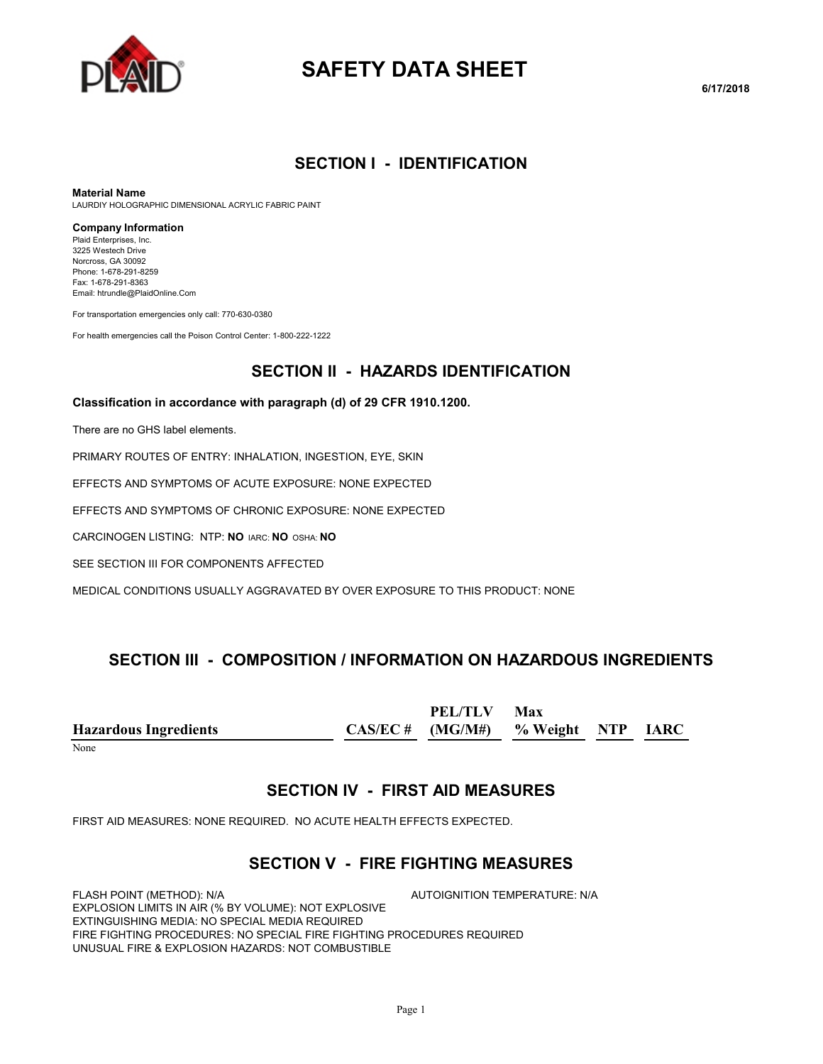

# **SAFETY DATA SHEET**

## **SECTION I - IDENTIFICATION**

#### **Material Name**

LAURDIY HOLOGRAPHIC DIMENSIONAL ACRYLIC FABRIC PAINT

#### **Company Information**

Plaid Enterprises, Inc. 3225 Westech Drive Norcross, GA 30092 Phone: 1-678-291-8259 Fax: 1-678-291-8363 Email: htrundle@PlaidOnline.Com

For transportation emergencies only call: 770-630-0380

For health emergencies call the Poison Control Center: 1-800-222-1222

## **SECTION II - HAZARDS IDENTIFICATION**

#### **Classification in accordance with paragraph (d) of 29 CFR 1910.1200.**

There are no GHS label elements.

PRIMARY ROUTES OF ENTRY: INHALATION, INGESTION, EYE, SKIN

EFFECTS AND SYMPTOMS OF ACUTE EXPOSURE: NONE EXPECTED

EFFECTS AND SYMPTOMS OF CHRONIC EXPOSURE: NONE EXPECTED

CARCINOGEN LISTING: NTP: **NO** IARC: **NO** OSHA: **NO**

SEE SECTION III FOR COMPONENTS AFFECTED

MEDICAL CONDITIONS USUALLY AGGRAVATED BY OVER EXPOSURE TO THIS PRODUCT: NONE

## **SECTION III - COMPOSITION / INFORMATION ON HAZARDOUS INGREDIENTS**

**Hazardous Ingredients CAS/EC # PEL/TLV (MG/M#) Max % Weight NTP IARC**

None

## **SECTION IV - FIRST AID MEASURES**

FIRST AID MEASURES: NONE REQUIRED. NO ACUTE HEALTH EFFECTS EXPECTED.

## **SECTION V - FIRE FIGHTING MEASURES**

FLASH POINT (METHOD): N/A  $\overline{A}$  autoignition temperature: N/A EXPLOSION LIMITS IN AIR (% BY VOLUME): NOT EXPLOSIVE EXTINGUISHING MEDIA: NO SPECIAL MEDIA REQUIRED FIRE FIGHTING PROCEDURES: NO SPECIAL FIRE FIGHTING PROCEDURES REQUIRED UNUSUAL FIRE & EXPLOSION HAZARDS: NOT COMBUSTIBLE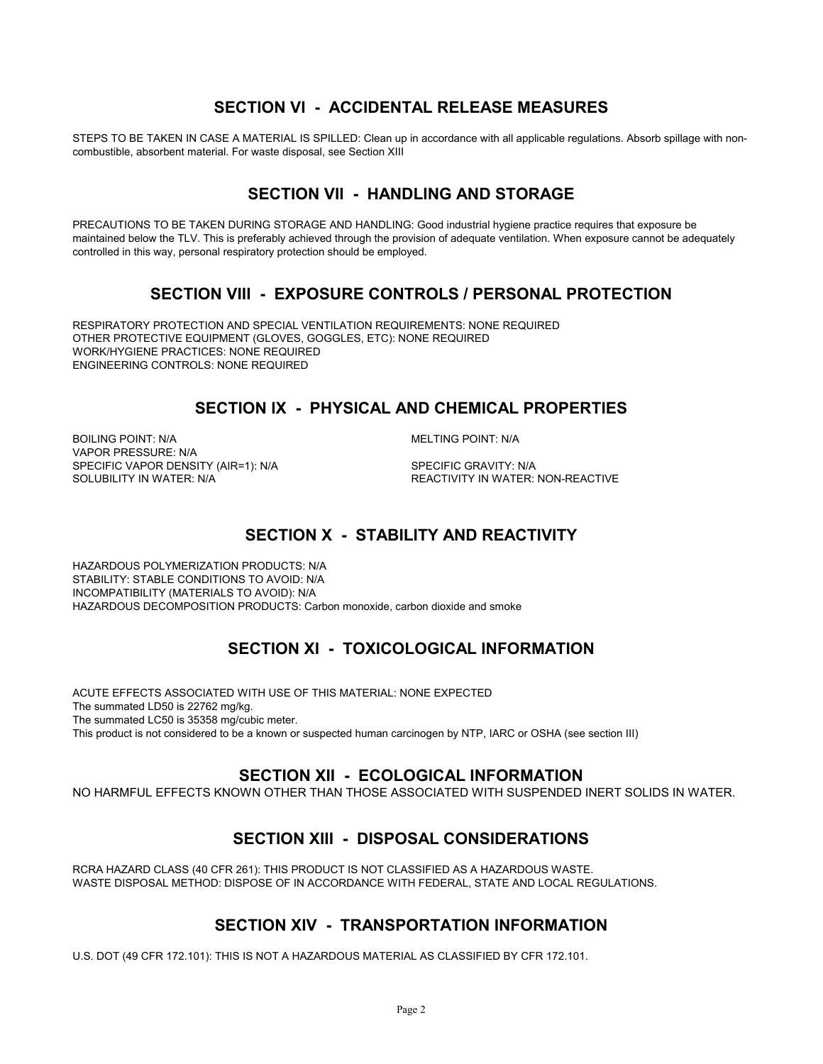## **SECTION VI - ACCIDENTAL RELEASE MEASURES**

STEPS TO BE TAKEN IN CASE A MATERIAL IS SPILLED: Clean up in accordance with all applicable regulations. Absorb spillage with noncombustible, absorbent material. For waste disposal, see Section XIII

## **SECTION VII - HANDLING AND STORAGE**

PRECAUTIONS TO BE TAKEN DURING STORAGE AND HANDLING: Good industrial hygiene practice requires that exposure be maintained below the TLV. This is preferably achieved through the provision of adequate ventilation. When exposure cannot be adequately controlled in this way, personal respiratory protection should be employed.

## **SECTION VIII - EXPOSURE CONTROLS / PERSONAL PROTECTION**

RESPIRATORY PROTECTION AND SPECIAL VENTILATION REQUIREMENTS: NONE REQUIRED OTHER PROTECTIVE EQUIPMENT (GLOVES, GOGGLES, ETC): NONE REQUIRED WORK/HYGIENE PRACTICES: NONE REQUIRED ENGINEERING CONTROLS: NONE REQUIRED

## **SECTION IX - PHYSICAL AND CHEMICAL PROPERTIES**

BOILING POINT: N/A MELTING POINT: N/A VAPOR PRESSURE: N/A SPECIFIC VAPOR DENSITY (AIR=1): N/A SPECIFIC GRAVITY: N/A SOLUBILITY IN WATER: SPECIFIC GRAVITY: N/A

REACTIVITY IN WATER: NON-REACTIVE

## **SECTION X - STABILITY AND REACTIVITY**

HAZARDOUS POLYMERIZATION PRODUCTS: N/A STABILITY: STABLE CONDITIONS TO AVOID: N/A INCOMPATIBILITY (MATERIALS TO AVOID): N/A HAZARDOUS DECOMPOSITION PRODUCTS: Carbon monoxide, carbon dioxide and smoke

## **SECTION XI - TOXICOLOGICAL INFORMATION**

ACUTE EFFECTS ASSOCIATED WITH USE OF THIS MATERIAL: NONE EXPECTED The summated LD50 is 22762 mg/kg. The summated LC50 is 35358 mg/cubic meter. This product is not considered to be a known or suspected human carcinogen by NTP, IARC or OSHA (see section III)

## **SECTION XII - ECOLOGICAL INFORMATION**

NO HARMFUL EFFECTS KNOWN OTHER THAN THOSE ASSOCIATED WITH SUSPENDED INERT SOLIDS IN WATER.

## **SECTION XIII - DISPOSAL CONSIDERATIONS**

RCRA HAZARD CLASS (40 CFR 261): THIS PRODUCT IS NOT CLASSIFIED AS A HAZARDOUS WASTE. WASTE DISPOSAL METHOD: DISPOSE OF IN ACCORDANCE WITH FEDERAL, STATE AND LOCAL REGULATIONS.

## **SECTION XIV - TRANSPORTATION INFORMATION**

U.S. DOT (49 CFR 172.101): THIS IS NOT A HAZARDOUS MATERIAL AS CLASSIFIED BY CFR 172.101.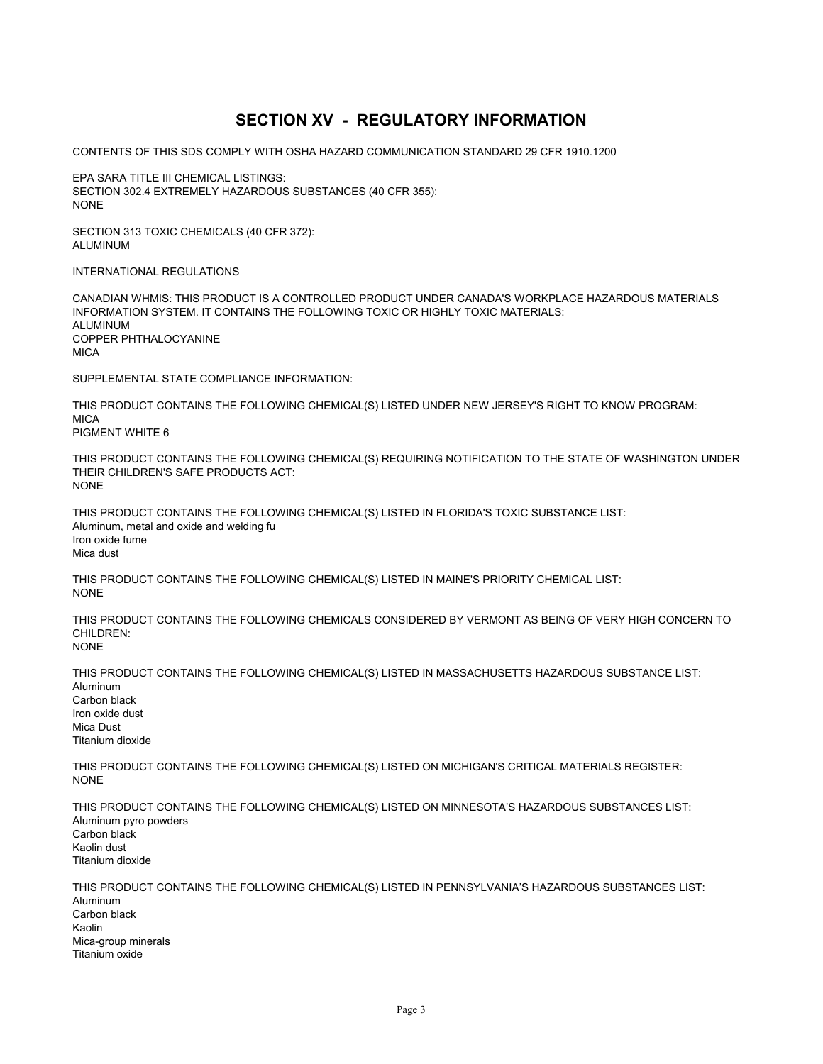## **SECTION XV - REGULATORY INFORMATION**

CONTENTS OF THIS SDS COMPLY WITH OSHA HAZARD COMMUNICATION STANDARD 29 CFR 1910.1200

EPA SARA TITLE III CHEMICAL LISTINGS: SECTION 302.4 EXTREMELY HAZARDOUS SUBSTANCES (40 CFR 355): NONE

SECTION 313 TOXIC CHEMICALS (40 CFR 372): ALUMINUM

INTERNATIONAL REGULATIONS

CANADIAN WHMIS: THIS PRODUCT IS A CONTROLLED PRODUCT UNDER CANADA'S WORKPLACE HAZARDOUS MATERIALS INFORMATION SYSTEM. IT CONTAINS THE FOLLOWING TOXIC OR HIGHLY TOXIC MATERIALS: ALUMINUM COPPER PHTHALOCYANINE **MICA** 

SUPPLEMENTAL STATE COMPLIANCE INFORMATION:

THIS PRODUCT CONTAINS THE FOLLOWING CHEMICAL(S) LISTED UNDER NEW JERSEY'S RIGHT TO KNOW PROGRAM: **MICA** PIGMENT WHITE 6

THIS PRODUCT CONTAINS THE FOLLOWING CHEMICAL(S) REQUIRING NOTIFICATION TO THE STATE OF WASHINGTON UNDER THEIR CHILDREN'S SAFE PRODUCTS ACT: NONE

THIS PRODUCT CONTAINS THE FOLLOWING CHEMICAL(S) LISTED IN FLORIDA'S TOXIC SUBSTANCE LIST: Aluminum, metal and oxide and welding fu Iron oxide fume Mica dust

THIS PRODUCT CONTAINS THE FOLLOWING CHEMICAL(S) LISTED IN MAINE'S PRIORITY CHEMICAL LIST: **NONE** 

THIS PRODUCT CONTAINS THE FOLLOWING CHEMICALS CONSIDERED BY VERMONT AS BEING OF VERY HIGH CONCERN TO CHILDREN: NONE

THIS PRODUCT CONTAINS THE FOLLOWING CHEMICAL(S) LISTED IN MASSACHUSETTS HAZARDOUS SUBSTANCE LIST: Aluminum Carbon black Iron oxide dust Mica Dust Titanium dioxide

THIS PRODUCT CONTAINS THE FOLLOWING CHEMICAL(S) LISTED ON MICHIGAN'S CRITICAL MATERIALS REGISTER: NONE

THIS PRODUCT CONTAINS THE FOLLOWING CHEMICAL(S) LISTED ON MINNESOTA'S HAZARDOUS SUBSTANCES LIST: Aluminum pyro powders Carbon black Kaolin dust Titanium dioxide

THIS PRODUCT CONTAINS THE FOLLOWING CHEMICAL(S) LISTED IN PENNSYLVANIA'S HAZARDOUS SUBSTANCES LIST: Aluminum Carbon black Kaolin Mica-group minerals Titanium oxide